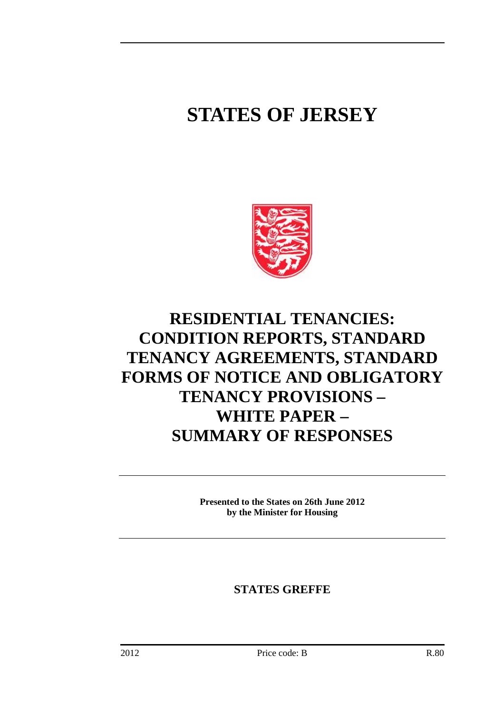## **STATES OF JERSEY**



### **RESIDENTIAL TENANCIES: CONDITION REPORTS, STANDARD TENANCY AGREEMENTS, STANDARD FORMS OF NOTICE AND OBLIGATORY TENANCY PROVISIONS – WHITE PAPER – SUMMARY OF RESPONSES**

**Presented to the States on 26th June 2012 by the Minister for Housing** 

**STATES GREFFE**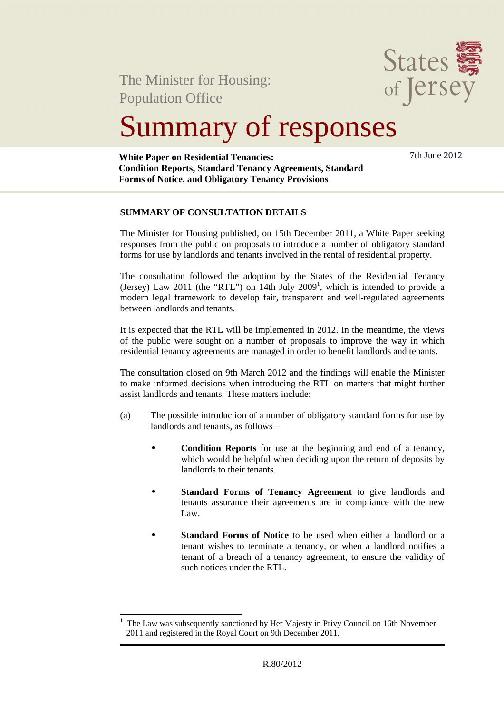

The Minister for Housing: Population Office

# Summary of responses

**White Paper on Residential Tenancies: Condition Reports, Standard Tenancy Agreements, Standard Forms of Notice, and Obligatory Tenancy Provisions** 

7th June 2012

#### **SUMMARY OF CONSULTATION DETAILS**

The Minister for Housing published, on 15th December 2011, a White Paper seeking responses from the public on proposals to introduce a number of obligatory standard forms for use by landlords and tenants involved in the rental of residential property.

The consultation followed the adoption by the States of the Residential Tenancy (Jersey) Law 2011 (the "RTL") on 14th July 2009<sup>1</sup>, which is intended to provide a modern legal framework to develop fair, transparent and well-regulated agreements between landlords and tenants.

It is expected that the RTL will be implemented in 2012. In the meantime, the views of the public were sought on a number of proposals to improve the way in which residential tenancy agreements are managed in order to benefit landlords and tenants.

The consultation closed on 9th March 2012 and the findings will enable the Minister to make informed decisions when introducing the RTL on matters that might further assist landlords and tenants. These matters include:

- (a) The possible introduction of a number of obligatory standard forms for use by landlords and tenants, as follows –
	- **Condition Reports** for use at the beginning and end of a tenancy, which would be helpful when deciding upon the return of deposits by landlords to their tenants.
	- **Standard Forms of Tenancy Agreement** to give landlords and tenants assurance their agreements are in compliance with the new Law.
	- **Standard Forms of Notice** to be used when either a landlord or a tenant wishes to terminate a tenancy, or when a landlord notifies a tenant of a breach of a tenancy agreement, to ensure the validity of such notices under the RTL.

 $\overline{a}$ 1 The Law was subsequently sanctioned by Her Majesty in Privy Council on 16th November 2011 and registered in the Royal Court on 9th December 2011.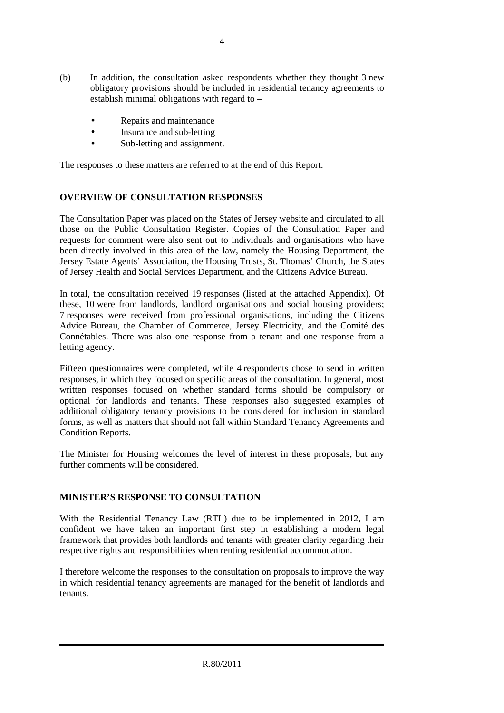- (b) In addition, the consultation asked respondents whether they thought 3 new obligatory provisions should be included in residential tenancy agreements to establish minimal obligations with regard to  $-$ 
	- Repairs and maintenance
	- Insurance and sub-letting
	- Sub-letting and assignment.

The responses to these matters are referred to at the end of this Report.

#### **OVERVIEW OF CONSULTATION RESPONSES**

The Consultation Paper was placed on the States of Jersey website and circulated to all those on the Public Consultation Register. Copies of the Consultation Paper and requests for comment were also sent out to individuals and organisations who have been directly involved in this area of the law, namely the Housing Department, the Jersey Estate Agents' Association, the Housing Trusts, St. Thomas' Church, the States of Jersey Health and Social Services Department, and the Citizens Advice Bureau.

In total, the consultation received 19 responses (listed at the attached Appendix). Of these, 10 were from landlords, landlord organisations and social housing providers; 7 responses were received from professional organisations, including the Citizens Advice Bureau, the Chamber of Commerce, Jersey Electricity, and the Comité des Connétables. There was also one response from a tenant and one response from a letting agency.

Fifteen questionnaires were completed, while 4 respondents chose to send in written responses, in which they focused on specific areas of the consultation. In general, most written responses focused on whether standard forms should be compulsory or optional for landlords and tenants. These responses also suggested examples of additional obligatory tenancy provisions to be considered for inclusion in standard forms, as well as matters that should not fall within Standard Tenancy Agreements and Condition Reports.

The Minister for Housing welcomes the level of interest in these proposals, but any further comments will be considered.

#### **MINISTER'S RESPONSE TO CONSULTATION**

With the Residential Tenancy Law (RTL) due to be implemented in 2012, I am confident we have taken an important first step in establishing a modern legal framework that provides both landlords and tenants with greater clarity regarding their respective rights and responsibilities when renting residential accommodation.

I therefore welcome the responses to the consultation on proposals to improve the way in which residential tenancy agreements are managed for the benefit of landlords and tenants.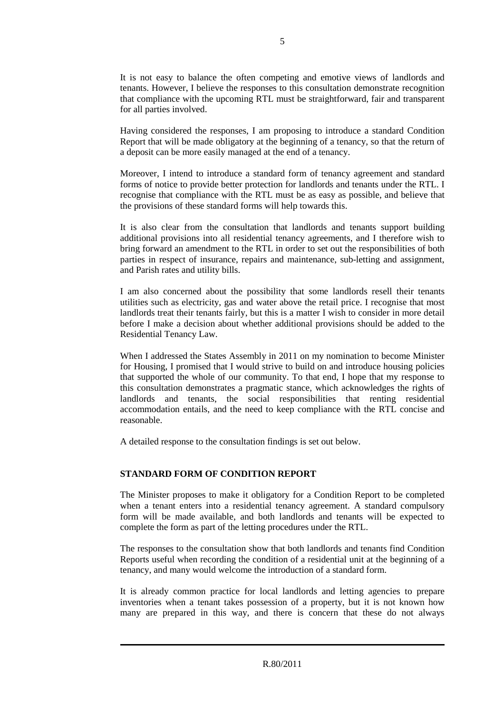It is not easy to balance the often competing and emotive views of landlords and tenants. However, I believe the responses to this consultation demonstrate recognition that compliance with the upcoming RTL must be straightforward, fair and transparent for all parties involved.

Having considered the responses, I am proposing to introduce a standard Condition Report that will be made obligatory at the beginning of a tenancy, so that the return of a deposit can be more easily managed at the end of a tenancy.

Moreover, I intend to introduce a standard form of tenancy agreement and standard forms of notice to provide better protection for landlords and tenants under the RTL. I recognise that compliance with the RTL must be as easy as possible, and believe that the provisions of these standard forms will help towards this.

It is also clear from the consultation that landlords and tenants support building additional provisions into all residential tenancy agreements, and I therefore wish to bring forward an amendment to the RTL in order to set out the responsibilities of both parties in respect of insurance, repairs and maintenance, sub-letting and assignment, and Parish rates and utility bills.

I am also concerned about the possibility that some landlords resell their tenants utilities such as electricity, gas and water above the retail price. I recognise that most landlords treat their tenants fairly, but this is a matter I wish to consider in more detail before I make a decision about whether additional provisions should be added to the Residential Tenancy Law.

When I addressed the States Assembly in 2011 on my nomination to become Minister for Housing, I promised that I would strive to build on and introduce housing policies that supported the whole of our community. To that end, I hope that my response to this consultation demonstrates a pragmatic stance, which acknowledges the rights of landlords and tenants, the social responsibilities that renting residential accommodation entails, and the need to keep compliance with the RTL concise and reasonable.

A detailed response to the consultation findings is set out below.

#### **STANDARD FORM OF CONDITION REPORT**

The Minister proposes to make it obligatory for a Condition Report to be completed when a tenant enters into a residential tenancy agreement. A standard compulsory form will be made available, and both landlords and tenants will be expected to complete the form as part of the letting procedures under the RTL.

The responses to the consultation show that both landlords and tenants find Condition Reports useful when recording the condition of a residential unit at the beginning of a tenancy, and many would welcome the introduction of a standard form.

It is already common practice for local landlords and letting agencies to prepare inventories when a tenant takes possession of a property, but it is not known how many are prepared in this way, and there is concern that these do not always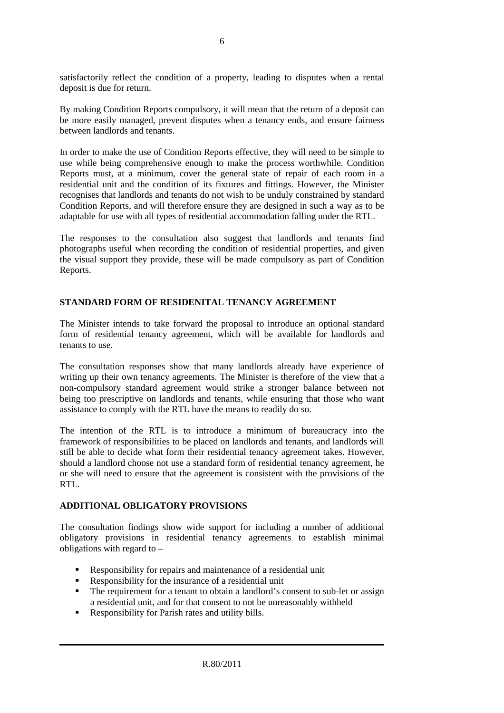satisfactorily reflect the condition of a property, leading to disputes when a rental deposit is due for return.

By making Condition Reports compulsory, it will mean that the return of a deposit can be more easily managed, prevent disputes when a tenancy ends, and ensure fairness between landlords and tenants.

In order to make the use of Condition Reports effective, they will need to be simple to use while being comprehensive enough to make the process worthwhile. Condition Reports must, at a minimum, cover the general state of repair of each room in a residential unit and the condition of its fixtures and fittings. However, the Minister recognises that landlords and tenants do not wish to be unduly constrained by standard Condition Reports, and will therefore ensure they are designed in such a way as to be adaptable for use with all types of residential accommodation falling under the RTL.

The responses to the consultation also suggest that landlords and tenants find photographs useful when recording the condition of residential properties, and given the visual support they provide, these will be made compulsory as part of Condition Reports.

#### **STANDARD FORM OF RESIDENITAL TENANCY AGREEMENT**

The Minister intends to take forward the proposal to introduce an optional standard form of residential tenancy agreement, which will be available for landlords and tenants to use.

The consultation responses show that many landlords already have experience of writing up their own tenancy agreements. The Minister is therefore of the view that a non-compulsory standard agreement would strike a stronger balance between not being too prescriptive on landlords and tenants, while ensuring that those who want assistance to comply with the RTL have the means to readily do so.

The intention of the RTL is to introduce a minimum of bureaucracy into the framework of responsibilities to be placed on landlords and tenants, and landlords will still be able to decide what form their residential tenancy agreement takes. However, should a landlord choose not use a standard form of residential tenancy agreement, he or she will need to ensure that the agreement is consistent with the provisions of the RTL.

#### **ADDITIONAL OBLIGATORY PROVISIONS**

The consultation findings show wide support for including a number of additional obligatory provisions in residential tenancy agreements to establish minimal obligations with regard to –

- Responsibility for repairs and maintenance of a residential unit
- Responsibility for the insurance of a residential unit
- The requirement for a tenant to obtain a landlord's consent to sub-let or assign a residential unit, and for that consent to not be unreasonably withheld
- Responsibility for Parish rates and utility bills.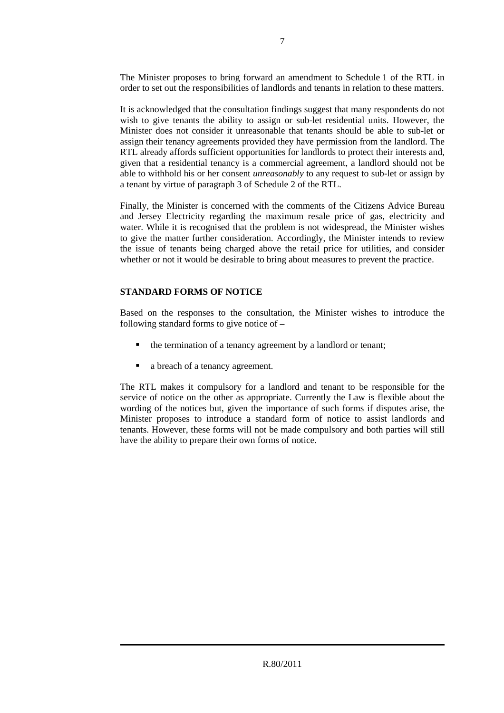The Minister proposes to bring forward an amendment to Schedule 1 of the RTL in order to set out the responsibilities of landlords and tenants in relation to these matters.

It is acknowledged that the consultation findings suggest that many respondents do not wish to give tenants the ability to assign or sub-let residential units. However, the Minister does not consider it unreasonable that tenants should be able to sub-let or assign their tenancy agreements provided they have permission from the landlord. The RTL already affords sufficient opportunities for landlords to protect their interests and, given that a residential tenancy is a commercial agreement, a landlord should not be able to withhold his or her consent *unreasonably* to any request to sub-let or assign by a tenant by virtue of paragraph 3 of Schedule 2 of the RTL.

Finally, the Minister is concerned with the comments of the Citizens Advice Bureau and Jersey Electricity regarding the maximum resale price of gas, electricity and water. While it is recognised that the problem is not widespread, the Minister wishes to give the matter further consideration. Accordingly, the Minister intends to review the issue of tenants being charged above the retail price for utilities, and consider whether or not it would be desirable to bring about measures to prevent the practice.

#### **STANDARD FORMS OF NOTICE**

Based on the responses to the consultation, the Minister wishes to introduce the following standard forms to give notice of –

- the termination of a tenancy agreement by a landlord or tenant;
- a breach of a tenancy agreement.

The RTL makes it compulsory for a landlord and tenant to be responsible for the service of notice on the other as appropriate. Currently the Law is flexible about the wording of the notices but, given the importance of such forms if disputes arise, the Minister proposes to introduce a standard form of notice to assist landlords and tenants. However, these forms will not be made compulsory and both parties will still have the ability to prepare their own forms of notice.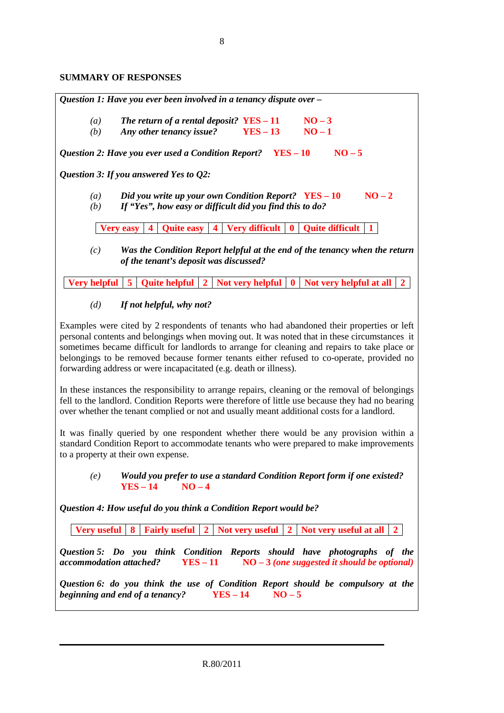#### **SUMMARY OF RESPONSES**

*Question 1: Have you ever been involved in a tenancy dispute over –*  (a) *The return of a rental deposit?* $YES - 11$  **NO – 3** *(b) Any other tenancy issue?* **YES – 13 NO – 1**  *Question 2: Have you ever used a Condition Report?* **YES – 10** NO – 5 *Question 3: If you answered Yes to Q2: (a) Did you write up your own Condition Report?*  $YES - 10$  **NO** – 2 *(b) If "Yes", how easy or difficult did you find this to do?*  **Very easy**  $\begin{bmatrix} 4 \\ 0 \end{bmatrix}$  Quite easy  $\begin{bmatrix} 4 \\ 1 \end{bmatrix}$  Very difficult  $\begin{bmatrix} 0 \\ 0 \end{bmatrix}$  Quite difficult  $\begin{bmatrix} 1 \\ 1 \end{bmatrix}$ *(c) Was the Condition Report helpful at the end of the tenancy when the return of the tenant's deposit was discussed?* 

**Very helpful 5 Quite helpful 2 Not very helpful 0 Not very helpful at all 2**

#### *(d) If not helpful, why not?*

Examples were cited by 2 respondents of tenants who had abandoned their properties or left personal contents and belongings when moving out. It was noted that in these circumstances it sometimes became difficult for landlords to arrange for cleaning and repairs to take place or belongings to be removed because former tenants either refused to co-operate, provided no forwarding address or were incapacitated (e.g. death or illness).

In these instances the responsibility to arrange repairs, cleaning or the removal of belongings fell to the landlord. Condition Reports were therefore of little use because they had no bearing over whether the tenant complied or not and usually meant additional costs for a landlord.

It was finally queried by one respondent whether there would be any provision within a standard Condition Report to accommodate tenants who were prepared to make improvements to a property at their own expense.

*(e) Would you prefer to use a standard Condition Report form if one existed?*  **YES – 14 NO – 4** 

*Question 4: How useful do you think a Condition Report would be?* 

**Very useful 8 Fairly useful 2 Not very useful 2 Not very useful at all 2**

*Question 5: Do you think Condition Reports should have photographs of the accommodation attached?* **YES – 11 NO – 3** *(one suggested it should be optional)*

*Question 6: do you think the use of Condition Report should be compulsory at the beginning and end of a tenancy?* **YES – 14 NO – 5**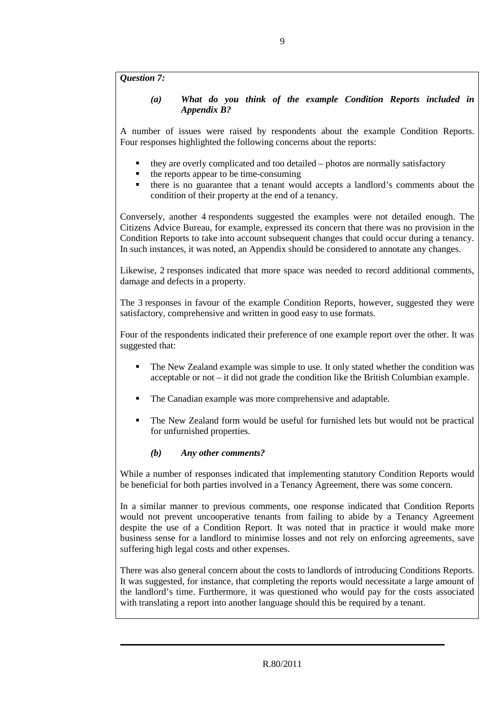*Question 7:* 

*(a) What do you think of the example Condition Reports included in Appendix B?* 

A number of issues were raised by respondents about the example Condition Reports. Four responses highlighted the following concerns about the reports:

- they are overly complicated and too detailed photos are normally satisfactory
- the reports appear to be time-consuming
- there is no guarantee that a tenant would accepts a landlord's comments about the condition of their property at the end of a tenancy.

Conversely, another 4 respondents suggested the examples were not detailed enough. The Citizens Advice Bureau, for example, expressed its concern that there was no provision in the Condition Reports to take into account subsequent changes that could occur during a tenancy. In such instances, it was noted, an Appendix should be considered to annotate any changes.

Likewise, 2 responses indicated that more space was needed to record additional comments, damage and defects in a property.

The 3 responses in favour of the example Condition Reports, however, suggested they were satisfactory, comprehensive and written in good easy to use formats.

Four of the respondents indicated their preference of one example report over the other. It was suggested that:

- The New Zealand example was simple to use. It only stated whether the condition was acceptable or not – it did not grade the condition like the British Columbian example.
- The Canadian example was more comprehensive and adaptable.
- The New Zealand form would be useful for furnished lets but would not be practical for unfurnished properties.

#### *(b) Any other comments?*

While a number of responses indicated that implementing statutory Condition Reports would be beneficial for both parties involved in a Tenancy Agreement, there was some concern.

In a similar manner to previous comments, one response indicated that Condition Reports would not prevent uncooperative tenants from failing to abide by a Tenancy Agreement despite the use of a Condition Report. It was noted that in practice it would make more business sense for a landlord to minimise losses and not rely on enforcing agreements, save suffering high legal costs and other expenses.

There was also general concern about the costs to landlords of introducing Conditions Reports. It was suggested, for instance, that completing the reports would necessitate a large amount of the landlord's time. Furthermore, it was questioned who would pay for the costs associated with translating a report into another language should this be required by a tenant.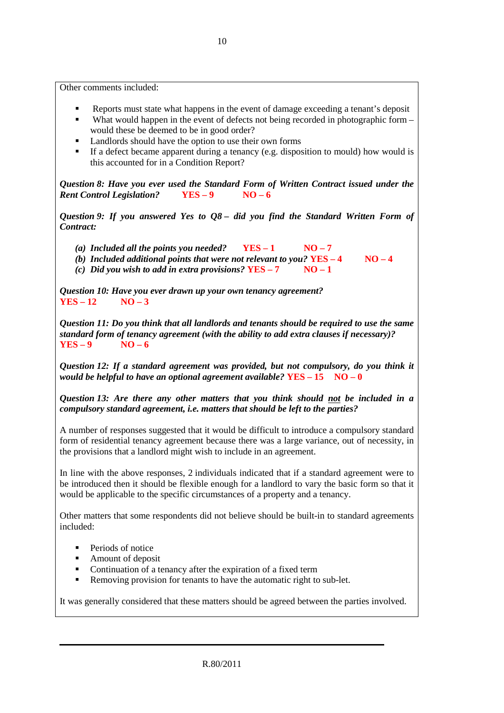Other comments included:

- Reports must state what happens in the event of damage exceeding a tenant's deposit
- What would happen in the event of defects not being recorded in photographic form would these be deemed to be in good order?
- **Landlords should have the option to use their own forms**
- If a defect became apparent during a tenancy (e.g. disposition to mould) how would is this accounted for in a Condition Report?

*Question 8: Have you ever used the Standard Form of Written Contract issued under the Rent Control Legislation?* **YES – 9 NO – 6**

*Question 9: If you answered Yes to Q8 – did you find the Standard Written Form of Contract:* 

- (a) *Included all the points you needed?*  $YES 1$   $NO 7$
- *(b) Included additional points that were not relevant to you?* **YES 4 NO 4**
- *(c) Did you wish to add in extra provisions?*  $YES 7$  NO 1

*Question 10: Have you ever drawn up your own tenancy agreement?*   $YES - 12$   $NO - 3$ 

*Question 11: Do you think that all landlords and tenants should be required to use the same standard form of tenancy agreement (with the ability to add extra clauses if necessary)?*   $YES-9$   $NO-6$ 

*Question 12: If a standard agreement was provided, but not compulsory, do you think it would be helpful to have an optional agreement available?* **YES – 15 NO – 0**

*Question 13: Are there any other matters that you think should not be included in a compulsory standard agreement, i.e. matters that should be left to the parties?*

A number of responses suggested that it would be difficult to introduce a compulsory standard form of residential tenancy agreement because there was a large variance, out of necessity, in the provisions that a landlord might wish to include in an agreement.

In line with the above responses, 2 individuals indicated that if a standard agreement were to be introduced then it should be flexible enough for a landlord to vary the basic form so that it would be applicable to the specific circumstances of a property and a tenancy.

Other matters that some respondents did not believe should be built-in to standard agreements included:

- **Periods of notice**
- Amount of deposit
- Continuation of a tenancy after the expiration of a fixed term
- Removing provision for tenants to have the automatic right to sub-let.

It was generally considered that these matters should be agreed between the parties involved.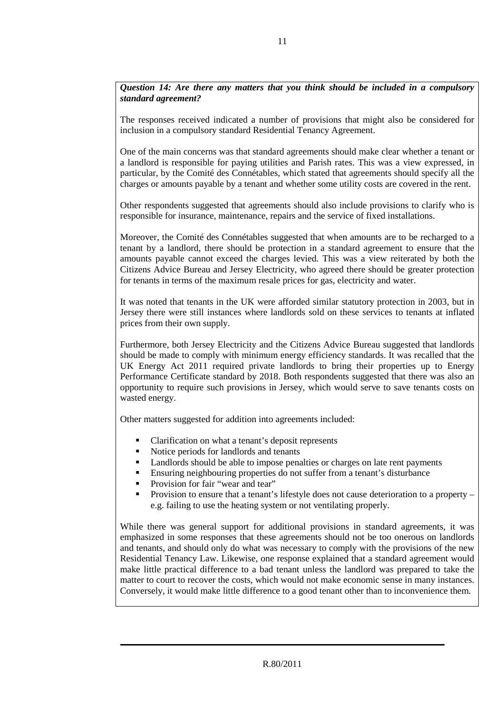*Question 14: Are there any matters that you think should be included in a compulsory standard agreement?* 

The responses received indicated a number of provisions that might also be considered for inclusion in a compulsory standard Residential Tenancy Agreement.

One of the main concerns was that standard agreements should make clear whether a tenant or a landlord is responsible for paying utilities and Parish rates. This was a view expressed, in particular, by the Comité des Connétables, which stated that agreements should specify all the charges or amounts payable by a tenant and whether some utility costs are covered in the rent.

Other respondents suggested that agreements should also include provisions to clarify who is responsible for insurance, maintenance, repairs and the service of fixed installations.

Moreover, the Comité des Connétables suggested that when amounts are to be recharged to a tenant by a landlord, there should be protection in a standard agreement to ensure that the amounts payable cannot exceed the charges levied. This was a view reiterated by both the Citizens Advice Bureau and Jersey Electricity, who agreed there should be greater protection for tenants in terms of the maximum resale prices for gas, electricity and water.

It was noted that tenants in the UK were afforded similar statutory protection in 2003, but in Jersey there were still instances where landlords sold on these services to tenants at inflated prices from their own supply.

Furthermore, both Jersey Electricity and the Citizens Advice Bureau suggested that landlords should be made to comply with minimum energy efficiency standards. It was recalled that the UK Energy Act 2011 required private landlords to bring their properties up to Energy Performance Certificate standard by 2018. Both respondents suggested that there was also an opportunity to require such provisions in Jersey, which would serve to save tenants costs on wasted energy.

Other matters suggested for addition into agreements included:

- Clarification on what a tenant's deposit represents
- Notice periods for landlords and tenants
- Landlords should be able to impose penalties or charges on late rent payments
- Ensuring neighbouring properties do not suffer from a tenant's disturbance
- Provision for fair "wear and tear"
- Provision to ensure that a tenant's lifestyle does not cause deterioration to a property e.g. failing to use the heating system or not ventilating properly.

While there was general support for additional provisions in standard agreements, it was emphasized in some responses that these agreements should not be too onerous on landlords and tenants, and should only do what was necessary to comply with the provisions of the new Residential Tenancy Law. Likewise, one response explained that a standard agreement would make little practical difference to a bad tenant unless the landlord was prepared to take the matter to court to recover the costs, which would not make economic sense in many instances. Conversely, it would make little difference to a good tenant other than to inconvenience them.